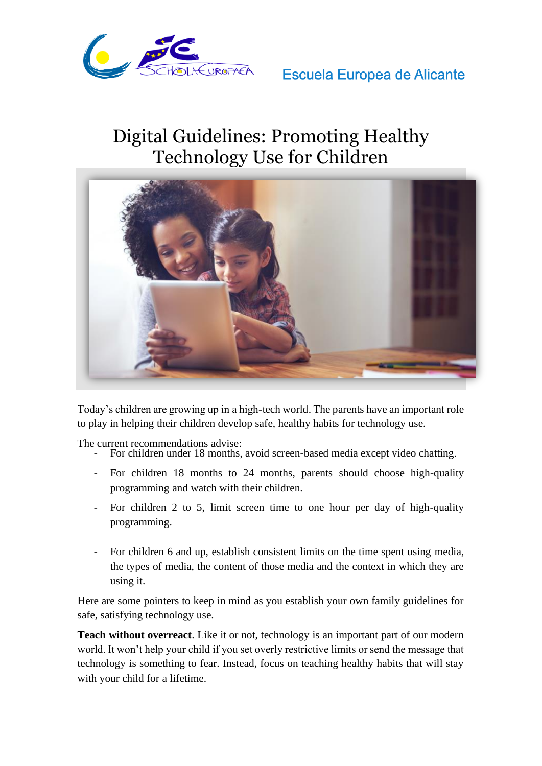

## Digital Guidelines: Promoting Healthy Technology Use for Children



Today's children are growing up in a high-tech world. The parents have an important role to play in helping their children develop safe, healthy habits for technology use.

The current recommendations advise:

- For children under 18 months, avoid screen-based media except video chatting.
- For children 18 months to 24 months, parents should choose high-quality programming and watch with their children.
- For children 2 to 5, limit screen time to one hour per day of high-quality programming.
- For children 6 and up, establish consistent limits on the time spent using media, the types of media, the content of those media and the context in which they are using it.

Here are some pointers to keep in mind as you establish your own family guidelines for safe, satisfying technology use.

**Teach without overreact**. Like it or not, technology is an important part of our modern world. It won't help your child if you set overly restrictive limits or send the message that technology is something to fear. Instead, focus on teaching healthy habits that will stay with your child for a lifetime.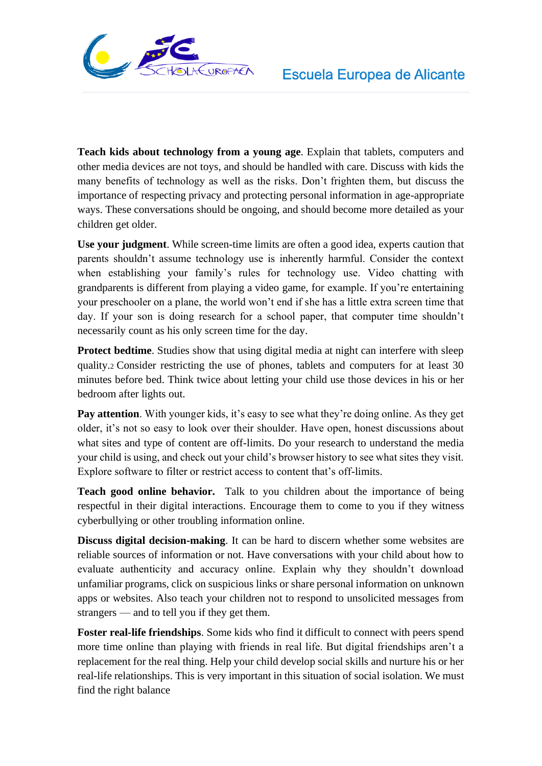

**Teach kids about technology from a young age**. Explain that tablets, computers and other media devices are not toys, and should be handled with care. Discuss with kids the many benefits of technology as well as the risks. Don't frighten them, but discuss the importance of respecting privacy and protecting personal information in age-appropriate ways. These conversations should be ongoing, and should become more detailed as your children get older.

**Use your judgment**. While screen-time limits are often a good idea, experts caution that parents shouldn't assume technology use is inherently harmful. Consider the context when establishing your family's rules for technology use. Video chatting with grandparents is different from playing a video game, for example. If you're entertaining your preschooler on a plane, the world won't end if she has a little extra screen time that day. If your son is doing research for a school paper, that computer time shouldn't necessarily count as his only screen time for the day.

**Protect bedtime**. Studies show that using digital media at night can interfere with sleep quality.<sup>2</sup> Consider restricting the use of phones, tablets and computers for at least 30 minutes before bed. Think twice about letting your child use those devices in his or her bedroom after lights out.

**Pay attention**. With younger kids, it's easy to see what they're doing online. As they get older, it's not so easy to look over their shoulder. Have open, honest discussions about what sites and type of content are off-limits. Do your research to understand the media your child is using, and check out your child's browser history to see what sites they visit. Explore software to filter or restrict access to content that's off-limits.

**Teach good online behavior.** Talk to you children about the importance of being respectful in their digital interactions. Encourage them to come to you if they witness cyberbullying or other troubling information online.

**Discuss digital decision-making**. It can be hard to discern whether some websites are reliable sources of information or not. Have conversations with your child about how to evaluate authenticity and accuracy online. Explain why they shouldn't download unfamiliar programs, click on suspicious links or share personal information on unknown apps or websites. Also teach your children not to respond to unsolicited messages from strangers — and to tell you if they get them.

**Foster real-life friendships**. Some kids who find it difficult to connect with peers spend more time online than playing with friends in real life. But digital friendships aren't a replacement for the real thing. Help your child develop social skills and nurture his or her real-life relationships. This is very important in this situation of social isolation. We must find the right balance